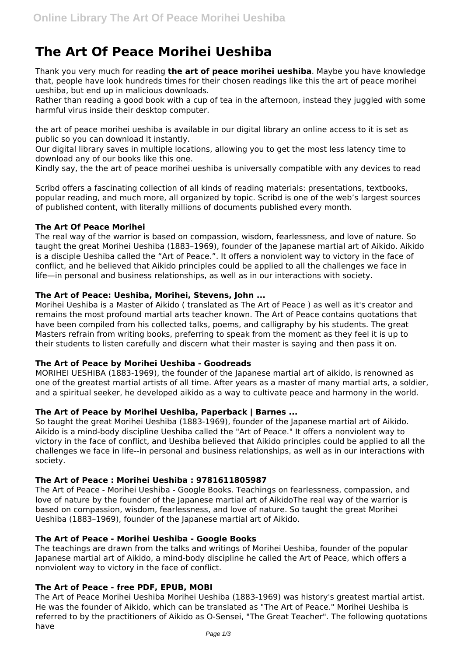# **The Art Of Peace Morihei Ueshiba**

Thank you very much for reading **the art of peace morihei ueshiba**. Maybe you have knowledge that, people have look hundreds times for their chosen readings like this the art of peace morihei ueshiba, but end up in malicious downloads.

Rather than reading a good book with a cup of tea in the afternoon, instead they juggled with some harmful virus inside their desktop computer.

the art of peace morihei ueshiba is available in our digital library an online access to it is set as public so you can download it instantly.

Our digital library saves in multiple locations, allowing you to get the most less latency time to download any of our books like this one.

Kindly say, the the art of peace morihei ueshiba is universally compatible with any devices to read

Scribd offers a fascinating collection of all kinds of reading materials: presentations, textbooks, popular reading, and much more, all organized by topic. Scribd is one of the web's largest sources of published content, with literally millions of documents published every month.

# **The Art Of Peace Morihei**

The real way of the warrior is based on compassion, wisdom, fearlessness, and love of nature. So taught the great Morihei Ueshiba (1883–1969), founder of the Japanese martial art of Aikido. Aikido is a disciple Ueshiba called the "Art of Peace.". It offers a nonviolent way to victory in the face of conflict, and he believed that Aikido principles could be applied to all the challenges we face in life—in personal and business relationships, as well as in our interactions with society.

# **The Art of Peace: Ueshiba, Morihei, Stevens, John ...**

Morihei Ueshiba is a Master of Aikido ( translated as The Art of Peace ) as well as it's creator and remains the most profound martial arts teacher known. The Art of Peace contains quotations that have been compiled from his collected talks, poems, and calligraphy by his students. The great Masters refrain from writing books, preferring to speak from the moment as they feel it is up to their students to listen carefully and discern what their master is saying and then pass it on.

# **The Art of Peace by Morihei Ueshiba - Goodreads**

MORIHEI UESHIBA (1883-1969), the founder of the Japanese martial art of aikido, is renowned as one of the greatest martial artists of all time. After years as a master of many martial arts, a soldier, and a spiritual seeker, he developed aikido as a way to cultivate peace and harmony in the world.

# **The Art of Peace by Morihei Ueshiba, Paperback | Barnes ...**

So taught the great Morihei Ueshiba (1883-1969), founder of the Japanese martial art of Aikido. Aikido is a mind-body discipline Ueshiba called the "Art of Peace." It offers a nonviolent way to victory in the face of conflict, and Ueshiba believed that Aikido principles could be applied to all the challenges we face in life--in personal and business relationships, as well as in our interactions with society.

# **The Art of Peace : Morihei Ueshiba : 9781611805987**

The Art of Peace - Morihei Ueshiba - Google Books. Teachings on fearlessness, compassion, and love of nature by the founder of the Japanese martial art of AikidoThe real way of the warrior is based on compassion, wisdom, fearlessness, and love of nature. So taught the great Morihei Ueshiba (1883–1969), founder of the Japanese martial art of Aikido.

# **The Art of Peace - Morihei Ueshiba - Google Books**

The teachings are drawn from the talks and writings of Morihei Ueshiba, founder of the popular Japanese martial art of Aikido, a mind-body discipline he called the Art of Peace, which offers a nonviolent way to victory in the face of conflict.

# **The Art of Peace - free PDF, EPUB, MOBI**

The Art of Peace Morihei Ueshiba Morihei Ueshiba (1883-1969) was history's greatest martial artist. He was the founder of Aikido, which can be translated as "The Art of Peace." Morihei Ueshiba is referred to by the practitioners of Aikido as O-Sensei, "The Great Teacher". The following quotations have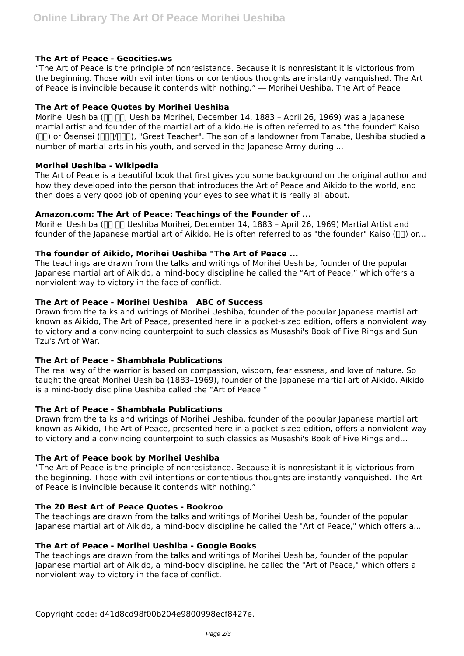# **The Art of Peace - Geocities.ws**

"The Art of Peace is the principle of nonresistance. Because it is nonresistant it is victorious from the beginning. Those with evil intentions or contentious thoughts are instantly vanquished. The Art of Peace is invincible because it contends with nothing." ― Morihei Ueshiba, The Art of Peace

## **The Art of Peace Quotes by Morihei Ueshiba**

Morihei Ueshiba (חם חם, Ueshiba Morihei, December 14, 1883 - April 26, 1969) was a Japanese martial artist and founder of the martial art of aikido.He is often referred to as "the founder" Kaiso ( $\Box$ ) or Ōsensei ( $\Box$ 1, "Great Teacher". The son of a landowner from Tanabe, Ueshiba studied a number of martial arts in his youth, and served in the Japanese Army during ...

## **Morihei Ueshiba - Wikipedia**

The Art of Peace is a beautiful book that first gives you some background on the original author and how they developed into the person that introduces the Art of Peace and Aikido to the world, and then does a very good job of opening your eyes to see what it is really all about.

## **Amazon.com: The Art of Peace: Teachings of the Founder of ...**

Morihei Ueshiba ( $\Box$  $\Box$  Ueshiba Morihei, December 14, 1883 - April 26, 1969) Martial Artist and founder of the Japanese martial art of Aikido. He is often referred to as "the founder" Kaiso ( $\Box$ ) or...

## **The founder of Aikido, Morihei Ueshiba "The Art of Peace ...**

The teachings are drawn from the talks and writings of Morihei Ueshiba, founder of the popular Japanese martial art of Aikido, a mind-body discipline he called the "Art of Peace," which offers a nonviolent way to victory in the face of conflict.

## **The Art of Peace - Morihei Ueshiba | ABC of Success**

Drawn from the talks and writings of Morihei Ueshiba, founder of the popular Japanese martial art known as Aikido, The Art of Peace, presented here in a pocket-sized edition, offers a nonviolent way to victory and a convincing counterpoint to such classics as Musashi's Book of Five Rings and Sun Tzu's Art of War.

# **The Art of Peace - Shambhala Publications**

The real way of the warrior is based on compassion, wisdom, fearlessness, and love of nature. So taught the great Morihei Ueshiba (1883–1969), founder of the Japanese martial art of Aikido. Aikido is a mind-body discipline Ueshiba called the "Art of Peace."

#### **The Art of Peace - Shambhala Publications**

Drawn from the talks and writings of Morihei Ueshiba, founder of the popular Japanese martial art known as Aikido, The Art of Peace, presented here in a pocket-sized edition, offers a nonviolent way to victory and a convincing counterpoint to such classics as Musashi's Book of Five Rings and...

#### **The Art of Peace book by Morihei Ueshiba**

"The Art of Peace is the principle of nonresistance. Because it is nonresistant it is victorious from the beginning. Those with evil intentions or contentious thoughts are instantly vanquished. The Art of Peace is invincible because it contends with nothing."

#### **The 20 Best Art of Peace Quotes - Bookroo**

The teachings are drawn from the talks and writings of Morihei Ueshiba, founder of the popular Japanese martial art of Aikido, a mind-body discipline he called the "Art of Peace," which offers a...

#### **The Art of Peace - Morihei Ueshiba - Google Books**

The teachings are drawn from the talks and writings of Morihei Ueshiba, founder of the popular Japanese martial art of Aikido, a mind-body discipline. he called the "Art of Peace," which offers a nonviolent way to victory in the face of conflict.